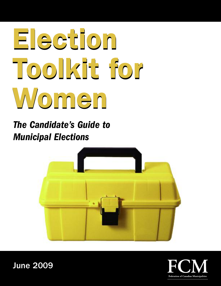# **Election Election Toolkit for Toolkit for Women Women**

*The Candidate's Guide to Municipal Elections*



June 2009

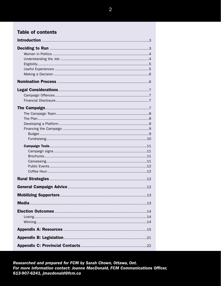## **Table of contents**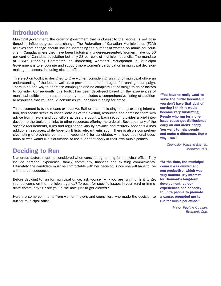## **Introduction**

Municipal government, the order of government that is closest to the people, is well-positioned to influence grassroots change. The Federation of Canadian Municipalities (FCM) believes that change should include increasing the number of women on municipal councils in Canada, where they have been historically under-represented. Women make up 50 per cent of Canada's population but only 23 per cent of municipal councils. The mandate of FCM's Standing Committee on Increasing Women's Participation in Municipal Government is to encourage and support more women's participation in municipal decisionmaking processes, including elected office.

This election toolkit is designed to give women considering running for municipal office an understanding of the job, as well as to provide tips and strategies for running a campaign. There is no one way to approach campaigns and no complete list of things to do or factors to consider. Consequently, this toolkit has been developed based on the experiences of municipal politicians across the country and includes a comprehensive listing of additional resources that you should consult as you consider running for office.

This document is by no means exhaustive. Rather than replicating already existing information, this toolkit seeks to consolidate all of the existing resources and combine them with advice from mayors and councillors across the country. Each section provides a brief introduction to the topic and links to other resources offering more detail. Because many of the specific requirements, rules and regulations vary by province and territory, Appendix A lists additional resources, while Appendix B lists relevant legislation. There is also a comprehensive listing of provincial contacts in Appendix C for candidates who have additional questions or who would like clarification of the rules that apply in their own municipalities.

# **Deciding to Run**

Numerous factors must be considered when considering running for municipal office. They include personal experience, family, community, finances and existing commitments. Ultimately, the candidate must be comfortable with her decision, since she will have to live with the consequences.

Before deciding to run for municipal office, ask yourself why you are running: Is it to get your concerns on the municipal agenda? To push for specific issues in your ward or immediate community? Or are you in the race just to get elected?

Here are some comments from women mayors and councillors who made the decision to run for municipal office.

**"You have to really want to serve the public because if you don't have that goal of serving I think it would become very frustrating. People who run for a oneissue cause get disillusioned early on and aren't happy. You want to help people and make a difference, that's why I ran."**

> *Councillor Kathryn Barnes, Moncton, N.B.*

**"At the time, the municipal council was divided and non-productive, which was very harmful. My interest for Bromont's long-term development, career experiences and capacity to unite people to promote a cause, prompted me to run for municipal office."**

> *Mayor Pauline Quinlan, Bromont, Que.*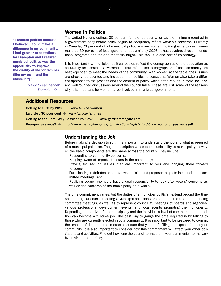**"I entered politics because I believed I could make a difference in my community. I had greater expectations for Brampton and I realized municipal politics was the opportunity to improve the quality of life for families (like my own) and the community."**

> *Mayor Susan Fennell, Brampton, Ont.*

#### **Women in Politics**

The United Nations defines 30 per cent female representation as the minimum required in a government body before policy begins to adequately reflect women's concerns. Currently in Canada, 23 per cent of all municipal politicians are women. FCM's goal is to see women make up 30 per cent of local government councils by 2026. It has developed recommendations, programs and tools to meet the target. This toolkit is one part of its strategy.

It is important that municipal political bodies reflect the demographics of the population as accurately as possible. Governments that reflect the demographics of the community are best equipped to meet the needs of the community. With women at the table, their issues are directly represented and included in all political discussions. Women also take a different approach to the process and the content of policy, which often results in more inclusive and well-rounded discussions around the council table. These are just some of the reasons why it is important for women to be involved in municipal government.

#### **Additional Resources**

Getting to 30% by 2026 ✛ *www.fcm.ca/women* La cible : 30 pour cent ✛ *www.fcm.ca/femmes* Getting to the Gate: Why Consider Politics? ✛ *www.gettingtothegate.com* Pourquoi pas vous? ✛ *http://www.mamr.gouv.qc.ca//publications/legislation/guide\_pourquoi\_pas\_vous.pdf*

#### **Understanding the Job**

Before making a decision to run, it is important to understand the job and what is required of a municipal politician. The job description varies from municipality to municipality; however, the basic components are the same across the country. They include:

- Responding to community concerns;
- Keeping aware of important issues in the community;
- Staying focused on issues that are important to you and bringing them forward to council;
- Participating in debates about by-laws, policies and proposed projects in council and committee meetings; and
- Realizing council members have a dual responsibility to look after voters' concerns as well as the concerns of the municipality as a whole.

The time commitment varies, but the duties of a municipal politician extend beyond the time spent in regular council meetings. Municipal politicians are also required to attend standing committee meetings, as well as to represent council at meetings of boards and agencies, various professional development events, and local events promoting the municipality. Depending on the size of the municipality and the individual's level of commitment, the position can become a full-time job. The best way to gauge the time required is by talking to those who are currently elected in your community. It is important to be prepared to commit the amount of time required in order to ensure that you are fulfilling the expectations of your community. It is also important to consider how this commitment will affect your other obligations and activities. Find out how long the council terms are in your community; terms vary by province and territory.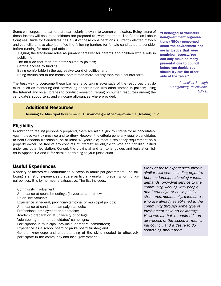Some challenges and barriers are particularly relevant to women candidates. Being aware of these factors will ensure candidates are prepared to overcome them. The Canadian Labour Congress Guide for Candidates has a list of these considerations. Currently elected mayors and councillors have also identified the following barriers for female candidates to consider before running for municipal office:

- Juggling the traditional roles as primary caregiver for parents and children with a role in public life;
- The attitude that men are better suited to politics;
- Getting access to funding;
- Being comfortable in the aggressive world of politics; and
- Being scrutinized in the media, sometimes more harshly than male counterparts.

The best way to overcome these barriers is by taking advantage of the resources that do exist, such as mentoring and networking opportunities with other women in politics; using the Internet and local libraries to conduct research; relying on human resources among the candidate's supporters; and childcare allowances where provided.

#### **Additional Resources**

Running for Municipal Government ✛ *www.ma.gov.nl.ca/ma/municipal\_training.html*

### **Eligibility**

In addition to feeling personally prepared, there are also eligibility criteria for all candidates. Again, these vary by province and territory. However, the criteria generally require candidates to hold Canadian citizenship; be at least 18 years old; meet a residency requirement as a property owner; be free of any conflicts of interest; be eligible to vote and not disqualified under any other legislation. Consult the provincial and territorial guides and legislation listed in Appendix A and B for details pertaining to your jurisdiction.

#### **Useful Experiences**

A variety of factors will contribute to success in municipal government. The following is a list of experiences that are particularly useful in preparing for municipal politics. It is by no means exhaustive. The list includes:

- Community involvement;
- Attendance at council meetings (in your area or elsewhere);
- Union involvement;
- Experience in federal, provincial/territorial or municipal politics;
- Attendance at candidate campaign schools;
- Professional employment and contacts;
- Academic preparation at university or college;
- Volunteering on other candidates' campaigns;
- Participation in municipal, provincial or federal committees;
- Experience as a school board or parks board trustee; and
- General knowledge and understanding of the skills needed to effectively participate in the community and local government.

*Many of these experiences involve similar skill sets including organization, leadership, balancing various demands, providing service to the community, working with people and knowledge of basic political structures. Additionally, candidates who are already established in the community through some type of involvement have an advantage. However, all that is required is an awareness of the issues at municipal council, and a desire to do something about them.*

**"I belonged to volunteer non-government organizations (NGOs) concerned about the environment and social justice that were municipal issues…You can only make so many presentations to council before you decide you should try out the other side of the table."**

> *Councillor Shelagh Montgomery, Yellowknife, N.W.T..*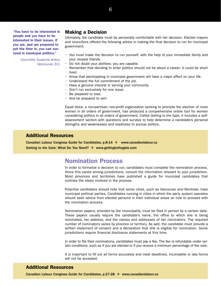**"You have to be interested in people and you have to be interested in their issues. If you are, and are prepared to put the time in, you can succeed in municipal politics."**

> *Councillor Suzanne Anton, Vancouver, B.C.*

#### **Making a Decision**

Ultimately, the candidate must be personally comfortable with her decision. Elected mayors and councillors offered the following advice in making the final decision to run for municipal government:

- You must make the decision to run yourself, with the help of your immediate family and your closest friends.
- Do not doubt your abilities; you are capable.
- Remember that deciding to enter politics should not be about a career; it could be short lived.
- Know that participating in municipal government will have a major effect on your life.
- Understand the full commitment of the job.
- Have a genuine interest in serving your community.
- Don't run exclusively for one issue.
- Be prepared to lose.
- And be prepared to win!

Equal Voice, a non-partisan, non-profit organization working to promote the election of more women in all orders of government, has produced a comprehensive online tool for women considering politics in all orders of government. Called *Getting to the Gate*, it includes a selfassessment section with questions and surveys to help determine a candidate's personal strengths and weaknesses and readiness to pursue politics.

#### **Additional Resources**

Canadian Labour Congress Guide for Candidates, p.8-14 ✛ *www.canadianlabour.ca* Getting to the Gate: What Do You Need? ✛ *www.gettingtothegate.com*

## **Nomination Process**

In order to formalize a decision to run, candidates must complete the nomination process. Since this varies among jurisdictions, consult the information relevant to your jurisdiction. Most provinces and territories have published a guide for municipal candidates that outlines the steps involved in the process.

Potential candidates should note that some cities, such as Vancouver and Montreal, have municipal political parties. Candidates running in cities in which the party system operates should seek advice from elected persons in their individual areas on how to proceed with the nomination process.

Nomination papers, provided by the municipality, must be filed in person by a certain date. These papers usually require the candidate's name, the office to which she is being nominated, her address, and the names and addresses of her nominators. The required number of nominators varies by province or territory. As well, the candidate must provide a written statement of consent and a declaration that she is eligible for nomination. Some jurisdictions require financial disclosure statements at this time.

In order to file their nominations, candidates must pay a fee. The fee is refundable under certain conditions, such as if you are elected or if you receive a minimum percentage of the vote.

It is important to fill out all forms accurately and meet deadlines. Incomplete or late forms will not be accepted.

#### **Additional Resources**

Canadian Labour Congress Guide for Candidates, p.27-28 ✛ *www.canadianlabour.ca*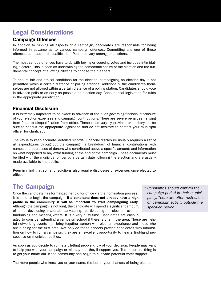# **Legal Considerations**

#### **Campaign Offences**

In addition to running all aspects of a campaign, candidates are responsible for being informed in advance as to various campaign offences. Committing any one of these offences can lead to disqualification. Penalties vary among jurisdictions.

The most serious offences have to do with buying or coercing votes and includes intimidating electors. This is seen as undermining the democratic nature of the election and the fundamental concept of allowing citizens to choose their leaders.

To ensure fair and ethical conditions for the election, campaigning on election day is not permitted within a certain distance of polling stations. Additionally, the candidates themselves are not allowed within a certain distance of a polling station. Candidates should vote in advance polls or as early as possible on election day. Consult local legislation for rules in the appropriate jurisdiction.

#### **Financial Disclosure**

It is extremely important to be aware in advance of the rules governing financial disclosure of your election expenses and campaign contributions. There are severe penalties, ranging from fines to disqualification from office. These rules vary by province or territory, so be sure to consult the appropriate legislation and do not hesitate to contact your municipal officer for clarification.

The key is to keep accurate, detailed records. Financial disclosure usually requires a list of all expenditures throughout the campaign; a breakdown of financial contributions with names and addresses of donors who contributed above a specific amount; and information on what happened to any extra funding at the end of the campaign. These documents must be filed with the municipal officer by a certain date following the election and are usually made available to the public.

Keep in mind that some jurisdictions also require disclosure of expenses once elected to office.

# **The Campaign**

Once the candidate has formalized her bid for office via the nomination process, it is time to begin the campaign. **If a candidate does not already have a high profile in the community, it will be important to start campaigning early.** Although the campaign is not long, the candidate will spend a significant amount of time developing material, canvassing, participating in election events, fundraising and meeting voters. It is a very busy time. Candidates are encour-

aged to consider attending a campaign school if there is one in the area. These are helpful networking events that bring together women with election experience and those who are running for the first time. Not only do these schools provide candidates with information on how to run a campaign, they are an excellent opportunity to hear a first-hand perspective on municipal politics.

As soon as you decide to run, start letting people know of your decision. People may want to help you with your campaign or will say that they'll support you. The important thing is to get your name out in the community and begin to cultivate potential voter support.

The more people who know you or your name, the better your chances of being elected!

*\* Candidates should confirm the campaign period in their municipality. There are often restrictions on campaign activity outside the specified period.*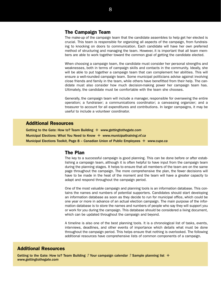#### **The Campaign Team**

The make-up of the campaign team that the candidate assembles to help get her elected is crucial. This team is responsible for organizing all aspects of the campaign, from fundraising to knocking on doors to communication. Each candidate will have her own preferred method of structuring and managing the team. However, it is important that all team members are able to work together toward the common goal of getting the candidate elected.

When choosing a campaign team, the candidate must consider her personal strengths and weaknesses, both in terms of campaign skills and contacts in the community. Ideally, she will be able to put together a campaign team that can complement her abilities. This will ensure a well-rounded campaign team. Some municipal politicians advise against involving close friends and family in the team, while others have benefitted from their help. The candidate must also consider how much decision-making power her campaign team has. Ultimately, the candidate must be comfortable with the team she chooses.

Generally, the campaign team will include a manager, responsible for overseeing the entire operation; a fundraiser; a communications coordinator; a canvassing organizer; and a treasurer to account for all expenditures and contributions. In larger campaigns, it may be useful to include a volunteer coordinator.

#### **Additional Resources**

Getting to the Gate: How to? Team Building ✛ *www.gettingtothegate.com* Municipal Elections: What You Need to Know ✛ *www.municipaltraining.nf.ca* Municipal Elections Toolkit, Page 8 – Canadian Union of Public Employees ✛ *www.cupe.ca*

#### **The Plan**

The key to a successful campaign is good planning. This can be done before or after establishing a campaign team, although it is often helpful to have input from the campaign team during the planning stages. It helps to ensure that all members of the team are on the same page throughout the campaign. The more comprehensive the plan, the fewer decisions will have to be made in the heat of the moment and the team will have a greater capacity to adapt and respond throughout the campaign period.

One of the most valuable campaign and planning tools is an information database. This contains the names and numbers of potential supporters. Candidates should start developing an information database as soon as they decide to run for municipal office, which could be one year or more in advance of an actual election campaign. The main purpose of the information database is to store the names and numbers of people who say they will support you or work for you during the campaign. This database should be considered a living document, which can be updated throughout the campaign and beyond.

A timeline is also one of the best planning tools. It is a chronological list of tasks, events, interviews, deadlines, and other events of importance which details what must be done throughout the campaign period. This helps ensure that nothing is overlooked. The following additional resources have comprehensive lists of common components of a campaign.

#### **Additional Resources**

Getting to the Gate: How to? Team Building *?* Your campaign calendar *?* Sample planning list ✛ *www.gettingtothegate.com*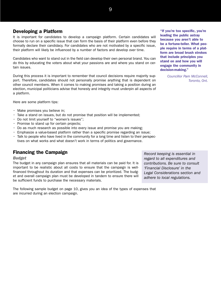## **Developing a Platform**

It is important for candidates to develop a campaign platform. Certain candidates will choose to run on a specific issue that can form the basis of their platform even before they formally declare their candidacy. For candidates who are not motivated by a specific issue, their platform will likely be influenced by a number of factors and develop over time.

Candidates who want to stand out in the field can develop their own personal brand. You can do this by educating the voters about what your passions are and where you stand on certain issues.

During this process it is important to remember that council decisions require majority support. Therefore, candidates should not personally promise anything that is dependent on other council members. When it comes to making promises and taking a position during an election, municipal politicians advise that honesty and integrity must underpin all aspects of a platform.

Here are some platform tips:

- Make promises you believe in;
- Take a stand on issues, but do not promise that position will be implemented;
- Do not limit yourself to "women's issues";
- Promise to stand up for certain projects;
- Do as much research as possible into every issue and promise you are making;
- Emphasize a value-based platform rather than a specific promise regarding an issue;
- Talk to people who have lived in the community for a long time and listen to their perspectives on what works and what doesn't work in terms of politics and governance.

## **Financing the Campaign**

*Budget*

The budget in any campaign plan ensures that all materials can be paid for. It is important to be realistic about all costs to ensure that the campaign is wellfinanced throughout its duration and that expenses can be prioritized. The budget and overall campaign plan must be developed in tandem to ensure there will be sufficient funds to purchase the necessary materials.

*Record keeping is essential in regard to all expenditures and contributions. Be sure to consult 'Financial Disclosure' in the Legal Considerations section and adhere to local regulations.*

The following sample budget on page 10, gives you an idea of the types of expenses that are incurred during an election campaign.

**"If you're too specific, you're leading the public astray because you aren't able to be a fortune-teller. What people require in terms of a platform are broad brush strokes that include principles you stand on and how you will engage the community in decision-making."**

*Councillor Pam McConnell, Toronto, Ont.*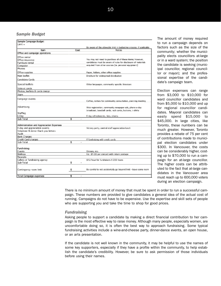#### *Sample Budget*

| Sample Campaign Budget                   |      |                                                                     |
|------------------------------------------|------|---------------------------------------------------------------------|
| Limit =                                  |      |                                                                     |
|                                          |      | Be aware of the allowable limit in budgeting grocess, if applicable |
| <b>Item</b>                              | Cost | Notes                                                               |
| Office and campaign operations           |      |                                                                     |
| Office rental                            |      |                                                                     |
| Office insurance                         |      | You may not need to purchase all of these items; however,           |
| Furniture rental                         |      | candidates must be aware of rules for disclosure of materials       |
| Computer                                 |      | acquired from other sources (ie, personal equipment).               |
| Phones                                   |      |                                                                     |
| Office supplies                          |      | Paper, folders, other office supplies                               |
| Main leaflet                             |      | Brochure for widespread distribution                                |
| Candidate Cards                          |      |                                                                     |
| Special leaflets                         |      | Other binguages, community specific liberature.                     |
| Vote at cards                            |      |                                                                     |
| Photos, leaflets & cards design          |      |                                                                     |
| Signs                                    |      |                                                                     |
| Campaign events                          |      | Coffee, rentals for community consultation, planning meeting        |
| Advertising                              |      | Web registration, community newpaper ads, phone e-day               |
|                                          |      | broadcast, baseball cards, rack cards, buttors, t-shirts            |
| Staffing                                 |      |                                                                     |
| E-Day                                    |      | E-day refreshments, lists, sheets                                   |
| Sub-Total                                | 1    |                                                                     |
|                                          |      |                                                                     |
| Administration and Appreciation Expenses |      |                                                                     |
| E-day and appreciation events            |      | Victory party, central staff appreciation lunch                     |
| Volunteer & donor thank you letters      |      |                                                                     |
| Audit                                    |      |                                                                     |
| Bank Charges                             |      |                                                                     |
| Credit Card charges<br>Sub-Total         | \$   | If fundraising with credit cards.                                   |
|                                          |      |                                                                     |
| Fundraising                              |      |                                                                     |
| Events                                   |      | Dinners, etc.                                                       |
| Mailmas                                  |      | Est. \$1.00 per contact with return postage                         |
| Receipts                                 |      |                                                                     |
| Callers or fundraising agency            |      | \$12/hour for fundraisers X 200 hours.                              |
| Sub-Total                                | \$   |                                                                     |
| Contingency room limit                   | s    | Be careful to not accidentally go beyond limit - leave some room    |
|                                          |      |                                                                     |
| <b>Total Campaign expenses</b>           | \$   |                                                                     |

The amount of money required to run a campaign depends on factors such as the size of the community; whether the municipality elects councillors at-large or in a ward system; the position the candidate is seeking (municipal councillor, regional councillor or mayor); and the professional expertise of the candidate's campaign team.

Election expenses can range from \$3,000 to \$10,000 for ward councillor candidates and from \$5,000 to \$10,000 and up for regional councillor candidates. Mayoral candidates can easily spend \$15,000 to \$45,000. In large cities, like Toronto, these numbers can be much greater. However, Toronto provides a rebate of 75 per cent of contributions made to municipal election candidates under \$300. In Vancouver, the costs can be considerably higher, costing up to \$70,000 to run a campaign for an at-large councillor. The higher costs can be attributed to the fact that at-large candidates in the Vancouver area must reach up to 600,000 voters during an election campaign.

There is no minimum amount of money that must be spent in order to run a successful campaign. These numbers are provided to give candidates a general idea of the actual cost of running. Campaigns do not have to be expensive. Use the expertise and skill sets of people who are supporting you and take the time to shop for good prices.

#### *Fundraising*

Asking people to support a candidate by making a direct financial contribution to her campaign is the most effective way to raise money. Although many people, especially women, are uncomfortable doing so, it is often the best way to approach fundraising. Some typical fundraising activities include a wine-and-cheese party, dinner-dance events, an open house, or an arts presentation.

If the candidate is not well known in the community, it may be helpful to use the names of some key supporters, especially if they have a profile within the community, to help establish the candidate's credibility. However, be sure to ask permission of those individuals before using their names.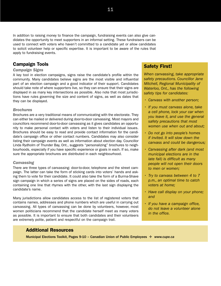In addition to raising money to finance the campaign, fundraising events can also give candidates the opportunity to meet supporters in an informal setting. These fundraisers can be used to connect with voters who haven't committed to a candidate yet or allow candidates to solicit volunteer help or specific expertise. It is important to be aware of the rules that apply to fundraising events.

#### **Campaign Tools**

#### *Campaign Signs*

A key tool in election campaigns, signs raise the candidate's profile within the community. Many candidates believe signs are the most visible and influential part of an election campaign and a good indicator of their support. Candidates should take note of where supporters live, so they can ensure that their signs are displayed in as many key intersections as possible. Also note that most jurisdictions have rules governing the size and content of signs, as well as dates that they can be displayed.

#### *Brochures*

Brochures are a very traditional means of communicating with the electorate. They can either be mailed or delivered during door-to-door canvassing. Most mayors and councillors recommend door-to-door canvassing as it gives candidates an opportunity to make personal contact with voters and listen to their individual issues. Brochures should be easy to read and provide contact information for the candidate's campaign office or other contact numbers. Candidates may also consider listing their campaign events as well as information about election day. Councillor Linda Rydholm of Thunder Bay, Ont., suggests "personalizing" brochures to neighbourhoods, especially if you have specific experience or goals in each. If so, make sure the appropriate brochures are distributed in each neighbourhood.

#### *Canvassing*

There are three types of canvassing: door-to-door, telephone and the street campaign. The latter can take the form of sticking cards into voters' hands and asking them to vote for their candidate. It could also take the form of a Burma-Shave sign campaign in which a series of signs are placed on the sides of roads, each containing one line that rhymes with the other, with the last sign displaying the candidate's name.

Many jurisdictions allow candidates access to the list of registered voters that contains names, addresses and phone numbers which are useful in carrying out canvassing. All types of canvassing can be done by volunteers, however, most women politicians recommend that the candidate herself meet as many voters as possible. It is important to ensure that both candidates and their volunteers are extremely polite, patient and respectful on the campaign trail.

## **Safety First!**

*When canvassing, take appropriate safety precautions. Councillor Jane Mitchell, Regional Municipality of Waterloo, Ont., has the following safety tips for candidates:*

- *• Canvass with another person;*
- *• If you must canvass alone, take a cell phone, lock your car when you leave it, and use the general safety precautions that most women use when out and about;*
- *• Do not go into people's homes if invited. It will slow down the canvass and could be dangerous;*
- *• Canvassing after dark (and most municipal elections are in the late fall) is difficult as many people will not open their doors to men or women;*
- *• Try to canvass between 4 to 7 p.m., an optimal time to catch voters at home;*
- *• Have call display on your phone; and*
- *• If you have a campaign office, do not leave a volunteer alone in the office.*

#### **Additional Resources**

Municipal Elections Toolkit, Pages 9-10 – Canadian Union of Public Employees ✛ *www.cupe.ca*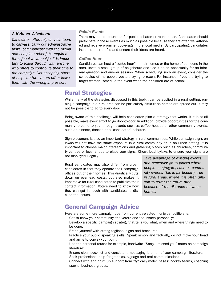#### *A Note on Volunteers*

*Candidates often rely on volunteers to canvass, carry out administrative tasks, communicate with the media and complete other jobs required throughout a campaign. It is important to follow through with anyone who offers to contribute their time to the campaign. Not accepting offers of help can turn voters off or leave them with the wrong impression.*

#### *Public Events*

There may be opportunities for public debates or roundtables. Candidates should participate in these events as much as possible because they are often well-attended and receive prominent coverage in the local media. By participating, candidates increase their profile and ensure their ideas are heard.

#### *Coffee Hour*

Candidates can host a "coffee hour" in their homes or the home of someone in the area. Invite a small group of neighbours and use it as an opportunity for an informal question and answer session. When scheduling such an event, consider the schedules of the people you are trying to reach. For instance, if you are trying to target women, schedule the event when their children are at school.

## **Rural Strategies**

While many of the strategies discussed in this toolkit can be applied in a rural setting, running a campaign in a rural area can be particularly difficult as homes are spread out. It may not be possible to go to every door.

Being aware of this challenge will help candidates plan a strategy that works. If it is at all possible, make every effort to go door-to-door. In addition, provide opportunities for the community to come to you, through events such as coffee houses or other community events, such as dinners, dances or all-candidates' debates.

Sign placement is also an important strategy in rural communities. While campaign signs on lawns will not have the same exposure in a rural community as in an urban setting, it is important to choose major intersections and gathering places such as churches, community centres or local shops to place your signs. Check local bylaws to ensure your signs are not displayed illegally.

Rural candidates may also differ from urban candidates in that they operate their campaign offices out of their homes. This drastically cuts down on overhead costs, but also makes it imperative for rural candidates to publicize their contact information. Voters need to know how they can get in touch with candidates to discuss the issues.

*Take advantage of existing events and networks: go to places where people congregate, such as community events. This is particularly true in rural areas, where it is often difficult to cover the entire area because of the distance between homes.*

## **General Campaign Advice**

Here are some more campaign tips from currently-elected municipal politicians:

- Get to know your community, the voters and the issues personally;
- Develop a specific campaign strategy that tells you what, when and where things need to be done;
- Brand yourself with strong taglines, signs and brochures;
- Practice your public speaking skills: Speak simply and factually, do not move your head and arms to convey your point;
- Use the personal touch; for example, handwrite "Sorry, I missed you" notes on campaign literature;
- Ensure clear, succinct and consistent messaging is on all of your campaign literature;
- Seek professional help for graphics, signage and oral communication;
- Connect with and drum up support from "typically male" bases: hockey teams, coaching sports, business groups;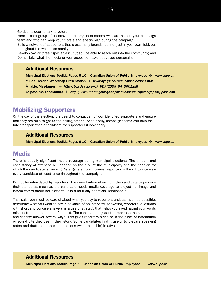- Form a core group of friends/supporters/cheerleaders who are not on your campaign team and who can keep your morale and energy high during the campaign;
- Build a network of supporters that cross many boundaries, not just in your own field, but throughout the whole community;
- Develop two or three "specialties", but still be able to reach out into the community; and
- Do not take what the media or your opposition says about you personally.

#### **Additional Resources**

Municipal Elections Toolkit, Pages 9-10 – Canadian Union of Public Employees ✛ *www.cupe.ca* Yukon Election Workshop Presentation ✛ *www.ayc.yk.ca/municipal-elections.htm* À table, Mesdames! ✛ *http://bv.cdeacf.ca/CF\_PDF/2005\_04\_0001.pdf* Je pose ma candidature ✛ *http://www.mamr.gouv.qc.ca/electionsmunicipales/jepose/pose.asp*

# **Mobilizing Supporters**

On the day of the election, it is useful to contact all of your identified supporters and ensure that they are able to get to the polling station. Additionally, campaign teams can help facilitate transportation or childcare for supporters if necessary.

#### **Additional Resources**

Municipal Elections Toolkit, Pages 9-10 – Canadian Union of Public Employees ✛ *www.cupe.ca*

## **Media**

There is usually significant media coverage during municipal elections. The amount and consistency of attention will depend on the size of the municipality and the position for which the candidate is running. As a general rule, however, reporters will want to interview every candidate at least once throughout the campaign.

Do not be intimidated by reporters. They need information from the candidate to produce their stories as much as the candidate needs media coverage to project her image and inform voters about her platform. It is a mutually beneficial relationship.

That said, you must be careful about what you say to reporters and, as much as possible, determine what you want to say in advance of an interview. Answering reporters' questions with short and concise answers is a useful strategy that helps you avoid having your words misconstrued or taken out of context. The candidate may want to rephrase the same short and concise answer several ways. This gives reporters a choice in the piece of information or sound bite they use in their story. Some candidates find it useful to prepare speaking notes and draft responses to questions (when possible) in advance.

#### **Additional Resources**

Municipal Elections Toolkit, Page 5 – Canadian Union of Public Employees ✛ *www.cupe.ca*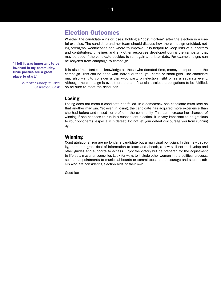# **Election Outcomes**

Whether the candidate wins or loses, holding a "post mortem" after the election is a useful exercise. The candidate and her team should discuss how the campaign unfolded, noting strengths, weaknesses and where to improve. It is helpful to keep lists of supporters and contributors, timelines and any other resources developed during the campaign that may be used if the candidate decides to run again at a later date. For example, signs can be recycled from campaign to campaign.

**"I felt it was important to be involved in my community. Civic politics are a great place to start."**

> *Councillor Tiffany Paulsen, Saskatoon, Sask.*

It is also important to acknowledge all those who donated time, money or expertise to the campaign. This can be done with individual thank-you cards or small gifts. The candidate may also want to consider a thank-you party on election night or as a separate event. Although the campaign is over, there are still financial-disclosure obligations to be fulfilled, so be sure to meet the deadlines.

#### **Losing**

Losing does not mean a candidate has failed. In a democracy, one candidate must lose so that another may win. Yet even in losing, the candidate has acquired more experience than she had before and raised her profile in the community. This can increase her chances of winning if she chooses to run in a subsequent election. It is very important to be gracious to your opponents, especially in defeat. Do not let your defeat discourage you from running again.

#### **Winning**

Congratulations! You are no longer a candidate but a municipal politician. In this new capacity, there is a great deal of information to learn and absorb, a new skill set to develop and other guides and supports to access. Enjoy the victory but be prepared for the adjustment to life as a mayor or councillor. Look for ways to include other women in the political process, such as appointments to municipal boards or committees, and encourage and support others who are considering election bids of their own.

Good luck!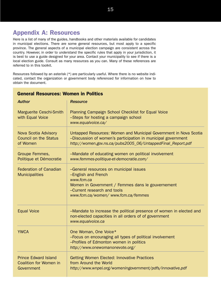# **Appendix A: Resources**

Here is a list of many of the guides, handbooks and other materials available for candidates in municipal elections. There are some general resources, but most apply to a specific province. The general aspects of a municipal election campaign are consistent across the country. However, in order to understand the specific rules that apply in your jurisdiction, it is best to use a guide designed for your area. Contact your municipality to see if there is a local election guide. Consult as many resources as you can. Many of these references are referred to in this toolkit.

Resources followed by an asterisk (\*) are particularly useful. Where there is no website indicated, contact the organization or government body referenced for information on how to obtain the document.

| General Resources. Women in Follucs                                        |                                                                                                                                                                                                        |  |
|----------------------------------------------------------------------------|--------------------------------------------------------------------------------------------------------------------------------------------------------------------------------------------------------|--|
| <b>Author</b>                                                              | <b>Resource</b>                                                                                                                                                                                        |  |
| <b>Marguerite Ceschi-Smith</b><br>with Equal Voice                         | Planning Campaign School Checklist for Equal Voice<br>-Steps for hosting a campaign school<br>www.equalvoice.ca/                                                                                       |  |
| Nova Scotia Advisory<br><b>Council on the Status</b><br>of Women           | Untapped Resources: Women and Municipal Government in Nova Scotia<br>-Discussion of women's participation in municipal government<br>http://women.gov.ns.ca/pubs2005_06/UntappedFinal_Report.pdf       |  |
| Groupe Femmes,<br>Politique et Démocratie                                  | -Mandate of educating women on political involvement<br>www.femmes-politique-et-democratie.com/                                                                                                        |  |
| <b>Federation of Canadian</b><br><b>Municipalities</b>                     | -General resources on municipal issues<br>-English and French<br>www.fcm.ca<br>Women in Government / Femmes dans le gouvernement<br>-Current research and tools<br>www.fcm.ca/women/ www.fcm.ca/femmes |  |
| <b>Equal Voice</b>                                                         | -Mandate to increase the political presence of women in elected and<br>non-elected capacities in all orders of of government<br>www.equalvoice.ca                                                      |  |
| <b>YWCA</b>                                                                | One Woman, One Voice*<br>-Focus on encouraging all types of political involvement<br>-Profiles of Edmonton women in politics<br>http://www.onewomanonevote.org/                                        |  |
| <b>Prince Edward Island</b><br><b>Coalition for Women in</b><br>Government | Getting Women Elected: Innovative Practices<br>from Around the World<br>http://www.wnpei.org/womeningovernment/pdfs/innovative.pdf                                                                     |  |

## **General Resources: Women in Politics**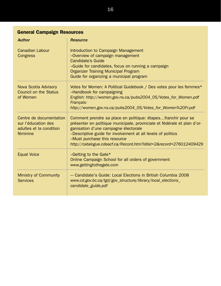| <b>General Campaign Resources</b>                                                     |                                                                                                                                                                                                                                                                                                                                                         |  |
|---------------------------------------------------------------------------------------|---------------------------------------------------------------------------------------------------------------------------------------------------------------------------------------------------------------------------------------------------------------------------------------------------------------------------------------------------------|--|
| <b>Author</b>                                                                         | <b>Resource</b>                                                                                                                                                                                                                                                                                                                                         |  |
| <b>Canadian Labour</b><br>Congress                                                    | Introduction to Campaign Management<br>-Overview of campaign management<br><b>Candidate's Guide</b><br>-Guide for candidates, focus on running a campaign<br><b>Organizer Training Municipal Program</b><br>Guide for organizing a municipal program                                                                                                    |  |
| Nova Scotia Advisory<br><b>Council on the Status</b><br>of Women                      | Votes for Women: A Political Guidebook / Des votes pour les femmes*<br>-Handbook for campaigning<br>English: http://women.gov.ns.ca/pubs2004_05/Votes_for_Women.pdf<br>Français:<br>http://women.gov.ns.ca/pubs2004_05/Votes_for_Women%20Fr.pdf                                                                                                         |  |
| Centre de documentation<br>sur l'éducation des<br>adultes et la condition<br>féminine | Comment prendre sa place en politique: étapesfranchir pour se<br>présenter en politique municipale, provinciale et fédérale et plan d'or-<br>ganisation d'une campagne électorale<br>-Descriptive guide for involvement at all levels of politics<br>-Must purchase this resource<br>http://catalogue.cdeacf.ca/Record.htm?idlist=2&record=276012409429 |  |
| <b>Equal Voice</b>                                                                    | $-$ Getting to the Gate*<br>Online Campaign School for all orders of government<br>www.gettingtothegate.com                                                                                                                                                                                                                                             |  |
| <b>Ministry of Community</b><br><b>Services</b>                                       | - Candidate's Guide: Local Elections in British Columbia 2008<br>www.cd.gov.bc.ca/lgd/gov_structure/library/local_elections_<br>candidate_guide.pdf                                                                                                                                                                                                     |  |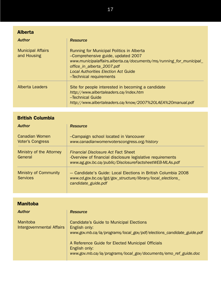| <b>Alberta</b>                          |                                                                                                                                                                                                                                                               |
|-----------------------------------------|---------------------------------------------------------------------------------------------------------------------------------------------------------------------------------------------------------------------------------------------------------------|
| <b>Author</b>                           | <b>Resource</b>                                                                                                                                                                                                                                               |
| <b>Municipal Affairs</b><br>and Housing | Running for Municipal Politics in Alberta<br>-Comprehensive guide, updated 2007<br>www.municipalaffairs.alberta.ca/documents/ms/running for municipal<br>office_in_alberta_2007.pdf<br><b>Local Authorities Election Act Guide</b><br>-Technical requirements |
| <b>Alberta Leaders</b>                  | Site for people interested in becoming a candidate<br>http://www.albertaleaders.ca/index.htm<br>-Technical Guide<br>http://www.albertaleaders.ca/know/2007%20LAEA%20manual.pdf                                                                                |

| <b>British Columbia</b>                         |                                                                                                                                                              |  |
|-------------------------------------------------|--------------------------------------------------------------------------------------------------------------------------------------------------------------|--|
| <b>Author</b>                                   | <b>Resource</b>                                                                                                                                              |  |
| Canadian Women<br><b>Voter's Congress</b>       | -Campaign school located in Vancouver<br>www.canadianwomenvoterscongress.org/history                                                                         |  |
| Ministry of the Attorney<br>General             | Financial Disclosure Act Fact Sheet<br>-Overview of financial disclosure legislative requirements<br>www.ag.gov.bc.ca/public/DisclosureFactsheetWEB-MLAs.pdf |  |
| <b>Ministry of Community</b><br><b>Services</b> | - Candidate's Guide: Local Elections in British Columbia 2008<br>www.cd.gov.bc.ca/lgd/gov_structure/library/local_elections_<br>candidate_guide.pdf          |  |

| <b>Manitoba</b>                       |                                                                                                                                       |
|---------------------------------------|---------------------------------------------------------------------------------------------------------------------------------------|
| <b>Author</b>                         | <b>Resource</b>                                                                                                                       |
| Manitoba<br>Intergovernmental Affairs | Candidate's Guide to Municipal Elections<br>English only:<br>www.gov.mb.ca/ia/programs/local_gov/pdf/elections_candidate_guide.pdf    |
|                                       | A Reference Guide for Elected Municipal Officials<br>English only:<br>www.gov.mb.ca/ia/programs/local_gov/documents/emo_ref_guide.doc |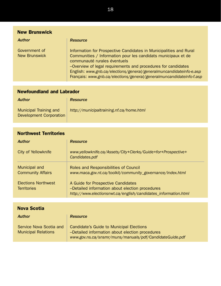| <b>New Brunswick</b>                  |                                                                                                                                                                                                                                                                                                                                                                                     |  |
|---------------------------------------|-------------------------------------------------------------------------------------------------------------------------------------------------------------------------------------------------------------------------------------------------------------------------------------------------------------------------------------------------------------------------------------|--|
| <b>Author</b>                         | <b>Resource</b>                                                                                                                                                                                                                                                                                                                                                                     |  |
| Government of<br><b>New Brunswick</b> | Information for Prospective Candidates in Municipalities and Rural<br>Communities / Information pour les candidats municipaux et de<br>communauté rurales éventuels<br>-Overview of legal requirements and procedures for candidates<br>English: www.gnb.ca/elections/general/generalmuncandidateinfo-e.asp<br>Français: www.gnb.ca/elections/general/generalmuncandidateinfo-f.asp |  |

| <b>Newfoundland and Labrador</b>                                |                                          |  |
|-----------------------------------------------------------------|------------------------------------------|--|
| <b>Author</b>                                                   | <b>Resource</b>                          |  |
| <b>Municipal Training and</b><br><b>Development Corporation</b> | http://municipaltraining.nf.ca/home.html |  |

| <b>Northwest Territories</b>                     |                                                                                                                                                         |  |
|--------------------------------------------------|---------------------------------------------------------------------------------------------------------------------------------------------------------|--|
| <b>Author</b>                                    | <b>Resource</b>                                                                                                                                         |  |
| <b>City of Yellowknife</b>                       | www.yellowknife.ca/Assets/City+Clerks/Guide+for+Prospective+<br>Candidates.pdf                                                                          |  |
| Municipal and<br><b>Community Affairs</b>        | Roles and Responsibilities of Council<br>www.maca.gov.nt.ca/toolkit/community_governance/index.html                                                     |  |
| <b>Elections Northwest</b><br><b>Territories</b> | A Guide for Prospective Candidates<br>-Detailed information about election procedures<br>http://www.electionsnwt.ca/english/candidates_information.html |  |
|                                                  |                                                                                                                                                         |  |
| <b>Nova Scotia</b>                               |                                                                                                                                                         |  |

| <b>Author</b>                                         | <b>Resource</b>                                                                                                                                        |
|-------------------------------------------------------|--------------------------------------------------------------------------------------------------------------------------------------------------------|
| Service Nova Scotia and<br><b>Municipal Relations</b> | Candidate's Guide to Municipal Elections<br>-Detailed information about election procedures<br>www.gov.ns.ca/snsmr/muns/manuals/pdf/CandidateGuide.pdf |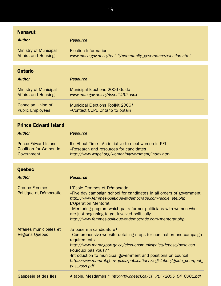| <b>Nunavut</b>                                                             |                                                                                                                                                                                                                                                                                                                                                                                 |
|----------------------------------------------------------------------------|---------------------------------------------------------------------------------------------------------------------------------------------------------------------------------------------------------------------------------------------------------------------------------------------------------------------------------------------------------------------------------|
| <b>Author</b>                                                              | <b>Resource</b>                                                                                                                                                                                                                                                                                                                                                                 |
| <b>Ministry of Municipal</b><br><b>Affairs and Housing</b>                 | <b>Election Information</b><br>www.maca.gov.nt.ca/toolkit/community_governance/election.html                                                                                                                                                                                                                                                                                    |
| <b>Ontario</b>                                                             |                                                                                                                                                                                                                                                                                                                                                                                 |
| <b>Author</b>                                                              | <b>Resource</b>                                                                                                                                                                                                                                                                                                                                                                 |
| <b>Ministry of Municipal</b><br><b>Affairs and Housing</b>                 | <b>Municipal Elections 2006 Guide</b><br>www.mah.gov.on.ca/Asset1432.aspx                                                                                                                                                                                                                                                                                                       |
| <b>Canadian Union of</b><br><b>Public Employees</b>                        | Municipal Elections Toolkit 2006*<br>-Contact CUPE Ontario to obtain                                                                                                                                                                                                                                                                                                            |
|                                                                            |                                                                                                                                                                                                                                                                                                                                                                                 |
| <b>Prince Edward Island</b>                                                |                                                                                                                                                                                                                                                                                                                                                                                 |
| <b>Author</b>                                                              | <b>Resource</b>                                                                                                                                                                                                                                                                                                                                                                 |
| <b>Prince Edward Island</b><br><b>Coalition for Women in</b><br>Government | It's About Time: An initiative to elect women in PEI<br>-Research and resources for candidates<br>http://www.wnpei.org/womeningovernment/index.html                                                                                                                                                                                                                             |
|                                                                            |                                                                                                                                                                                                                                                                                                                                                                                 |
| Quebec                                                                     |                                                                                                                                                                                                                                                                                                                                                                                 |
| <b>Author</b>                                                              | <b>Resource</b>                                                                                                                                                                                                                                                                                                                                                                 |
| Groupe Femmes,<br>Politique et Démocratie                                  | L'École Femmes et Démocratie<br>-Five day campaign school for candidates in all orders of government<br>http://www.femmes-politique-et-democratie.com/ecole_ete.php<br>L'Opération Mentorat<br>-Mentoring program which pairs former politicians with women who<br>are just beginning to get involved politically<br>http://www.femmes-politique-et-democratie.com/mentorat.php |
| Affaires municipales et<br><b>Régions Québec</b>                           | Je pose ma candidature*<br>-Comprehensive website detailing steps for nomination and campaign<br>requirements<br>http://www.mamr.gouv.qc.ca/electionsmunicipales/jepose/pose.asp<br>Pourquoi pas vous?*<br>-Introduction to municipal government and positions on council<br>http://www.mamrot.gouv.qc.ca/publications/legislation/guide_pourquoi_<br>pas_vous.pdf              |
| Gaspésie et des Îles                                                       | À table, Mesdames!* http://bv.cdeacf.ca/CF_PDF/2005_04_0001.pdf                                                                                                                                                                                                                                                                                                                 |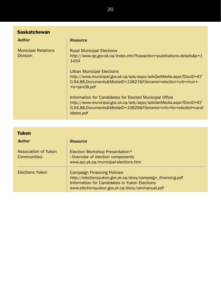| <b>Saskatchewan</b>                           |                                                                                                                                                                                                              |  |
|-----------------------------------------------|--------------------------------------------------------------------------------------------------------------------------------------------------------------------------------------------------------------|--|
| <b>Author</b>                                 | <b>Resource</b>                                                                                                                                                                                              |  |
| <b>Municipal Relations</b><br><b>Division</b> | <b>Rural Municipal Elections</b><br>http://www.qp.gov.sk.ca/index.cfm?fuseaction=publications.details&p=1<br>1454                                                                                            |  |
|                                               | <b>Urban Municipal Elections</b><br>http://www.municipal.gov.sk.ca/adx/aspx/adxGetMedia.aspx?DocID=67<br>0,94,88, Documents & Medial D=10827 & Filename=election + urb + mun +-<br>+tv+jan08.pdf             |  |
|                                               | Information for Candidates for Elected Municipal Office<br>http://www.municipal.gov.sk.ca/adx/aspx/adxGetMedia.aspx?DocID=67<br>0,94,88,Documents&MediaID=10829&Filename=info+for+elected+cand<br>idates.pdf |  |

| Yukon                                      |                                                                                                                                                                                                       |  |
|--------------------------------------------|-------------------------------------------------------------------------------------------------------------------------------------------------------------------------------------------------------|--|
| <b>Author</b>                              | <b>Resource</b>                                                                                                                                                                                       |  |
| Association of Yukon<br><b>Communities</b> | Election Workshop Presentation*<br>-Overview of election components<br>www.ayc.yk.ca/municipal-elections.htm                                                                                          |  |
| <b>Elections Yukon</b>                     | <b>Campaign Financing Policies</b><br>http://electionsyukon.gov.yk.ca/docs/campaign_financing.pdf<br>Information for Candidates in Yukon Elections<br>www.electionsyukon.gov.yk.ca/docs/canmanual.pdf |  |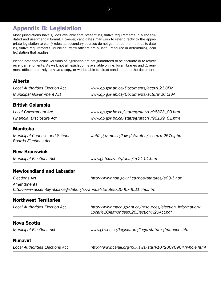# **Appendix B: Legislation**

Most jurisdictions have guides available that present legislative requirements in a consolidated and user-friendly format. However, candidates may wish to refer directly to the appropriate legislation to clarify rules as secondary sources do not guarantee the most up-to-date legislative requirements. Municipal bylaw officers are a useful resource in determining local legislation that applies.

Please note that online versions of legislation are not guaranteed to be accurate or to reflect recent amendments. As well, not all legislation is available online: local libraries and government offices are likely to have a copy, or will be able to direct candidates to the document.

## **Alberta**

| <b>Local Authorities Election Act</b>                               | www.qp.gov.ab.ca/Documents/acts/L21.CFM                                  |  |
|---------------------------------------------------------------------|--------------------------------------------------------------------------|--|
| <b>Municipal Government Act</b>                                     | www.qp.gov.ab.ca/Documents/acts/M26.CFM                                  |  |
| <b>British Columbia</b>                                             |                                                                          |  |
| <b>Local Government Act</b>                                         | www.qp.gov.bc.ca/statreg/stat/L/96323_00.htm                             |  |
| <b>Financial Disclosure Act</b>                                     | www.qp.gov.bc.ca/statreg/stat/F/96139_01.htm                             |  |
| <b>Manitoba</b>                                                     |                                                                          |  |
| <b>Municipal Councils and School</b><br><b>Boards Elections Act</b> | web2.gov.mb.ca/laws/statutes/ccsm/m257e.php                              |  |
| <b>New Brunswick</b>                                                |                                                                          |  |
| <b>Municipal Elections Act</b>                                      | www.gnb.ca/acts/acts/m-21-01.htm                                         |  |
| <b>Newfoundland and Labrador</b>                                    |                                                                          |  |
| <b>Elections Act</b>                                                | http://www.hoa.gov.nl.ca/hoa/statutes/e03-1.htm                          |  |
| Amendments                                                          |                                                                          |  |
|                                                                     | http//www.assembly.nl.ca/legislation/sr/annualstatutes/2005/0521.chp.htm |  |
| <b>Northwest Territories</b>                                        |                                                                          |  |
| <b>Local Authorities Election Act</b>                               | http://www.maca.gov.nt.ca/resources/election_information/                |  |
|                                                                     | Local%20Authorities%20Election%20Act.pdf                                 |  |
| <b>Nova Scotia</b>                                                  |                                                                          |  |
| <b>Municipal Elections Act</b>                                      | www.gov.ns.ca/legislature/legc/statutes/muncpel.htm                      |  |
| <b>Nunavut</b>                                                      |                                                                          |  |
| <b>Local Authorities Elections Act</b>                              | http://www.canlii.org/nu/laws/sta/l-10/20070904/whole.html               |  |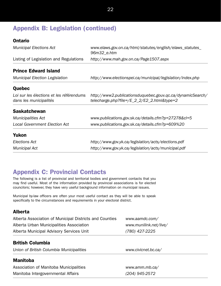# **Appendix B: Legislation (continued)**

## **Ontario**

| <b>Municipal Elections Act</b>                                     | www.elaws.gov.on.ca/html/statutes/english/elaws_statutes_<br>96m32_e.htm                                  |  |  |
|--------------------------------------------------------------------|-----------------------------------------------------------------------------------------------------------|--|--|
| Listing of Legislation and Regulations                             | http://www.mah.gov.on.ca/Page1507.aspx                                                                    |  |  |
| <b>Prince Edward Island</b>                                        |                                                                                                           |  |  |
| <b>Municipal Election Legislation</b>                              | http://www.electionspei.ca/municipal/legislation/index.php                                                |  |  |
| Quebec                                                             |                                                                                                           |  |  |
| Loi sur les élections et les référendums<br>dans les municipalités | http://www2.publicationsduquebec.gouv.qc.ca/dynamicSearch/<br>telecharge.php?file=/E_2_2/E2_2.html&type=2 |  |  |
| <b>Saskatchewan</b>                                                |                                                                                                           |  |  |
| <b>Municipalities Act</b>                                          | www.publications.gov.sk.ca/details.cfm?p=27278&cl=5                                                       |  |  |
| <b>Local Government Election Act</b>                               | www.publications.gov.sk.ca/details.cfm?p=609%20                                                           |  |  |
| Yukon                                                              |                                                                                                           |  |  |
| Elections Act                                                      | http://www.gov.yk.ca/legislation/acts/elections.pdf                                                       |  |  |
| <b>Municipal Act</b>                                               | http://www.gov.yk.ca/legislation/acts/municipal.pdf                                                       |  |  |

# **Appendix C: Provincial Contacts**

The following is a list of provincial and territorial bodies and government contacts that you may find useful. Most of the information provided by provincial associations is for elected councilors; however, they have very useful background information on municipal issues.

Municipal by-law officers are often your most useful contact as they will be able to speak specifically to the circumstances and requirements in your electoral district.

## **Alberta**

| Alberta Association of Municipal Districts and Counties | www.aamdc.com/         |
|---------------------------------------------------------|------------------------|
| Alberta Urban Municipalities Association                | www.munilink.net/live/ |
| Alberta Municipal Advisory Services Unit                | (780) 427-2225         |

## **British Columbia**

*Union of British Columbia Municipalities www.civicnet.bc.ca/*

#### **Manitoba**

Association of Manitoba Municipalities *www.amm.mb.ca/* Manitoba Intergovernmental Affairs *(204) 945-2572*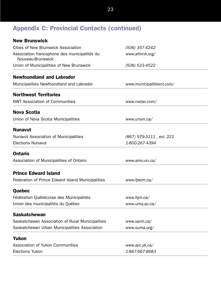# **Appendix C: Provincial Contacts (continued)**

| <b>New Brunswick</b>                                              |                                  |  |
|-------------------------------------------------------------------|----------------------------------|--|
| <b>Cities of New Brunswick Association</b>                        | (506) 357-4242<br>www.afmnb.org/ |  |
| Association francophone des municipalités du<br>Nouveau-Brunswick |                                  |  |
| Union of Municipalities of New Brunswick                          | (506) 523-4522                   |  |
| <b>Newfoundland and Labrador</b>                                  |                                  |  |
| Municipalities Newfoundland and Labrador                          | www.municipalitiesnl.com/        |  |
| <b>Northwest Territories</b>                                      |                                  |  |
| <b>NWT Association of Communities</b>                             | www.nwtac.com/                   |  |
| <b>Nova Scotia</b>                                                |                                  |  |
| Union of Nova Scotia Municipalities                               | www.unsm.ca/                     |  |
| <b>Nunavut</b>                                                    |                                  |  |
| Nunavut Association of Municipalities                             | (867) 979-3111, ext. 221         |  |
| <b>Elections Nunavut</b>                                          | 1-800-267-4394                   |  |
| <b>Ontario</b>                                                    |                                  |  |
| Association of Municipalities of Ontario                          | www.amo.on.ca/                   |  |
| <b>Prince Edward Island</b>                                       |                                  |  |
| Federation of Prince Edward Island Municipalities                 | www.fpeim.ca/                    |  |
| <b>Quebec</b>                                                     |                                  |  |
| Fédération Québécoise des Municipalités                           | www.fqm.ca/                      |  |
| Union des municipalités du Québec                                 | www.umq.qc.ca/                   |  |
| <b>Saskatchewan</b>                                               |                                  |  |
| Saskatchewan Association of Rural Municipalities                  | www.sarm.ca/                     |  |
| Saskatchewan Urban Municipalities Association                     | www.suma.org/                    |  |
| <b>Yukon</b>                                                      |                                  |  |
| <b>Association of Yukon Communities</b>                           | www.ayc.yk.ca/                   |  |
| <b>Elections Yukon</b>                                            | 1-867-667-8683                   |  |